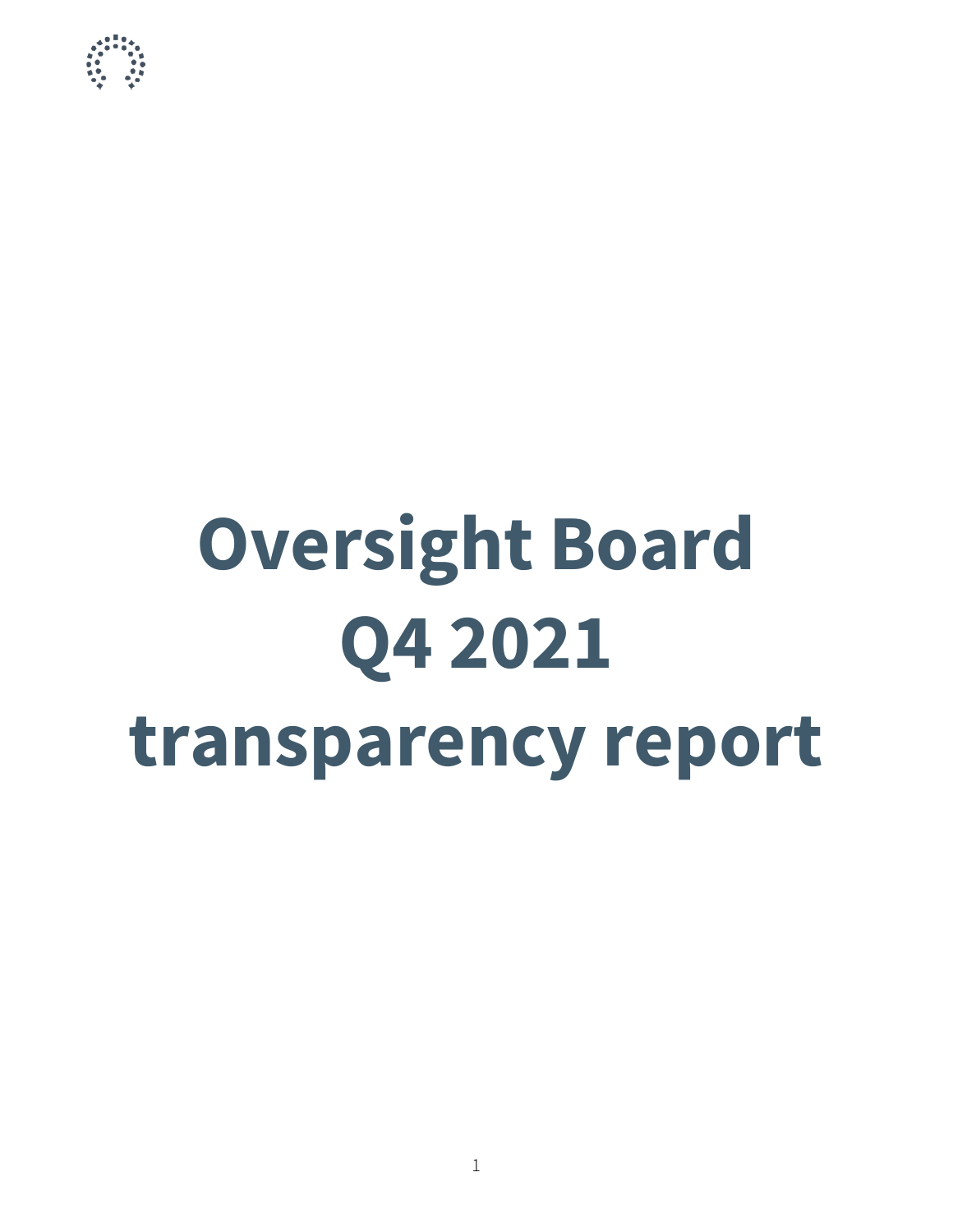

# **Oversight Board Q4 2021 transparency report**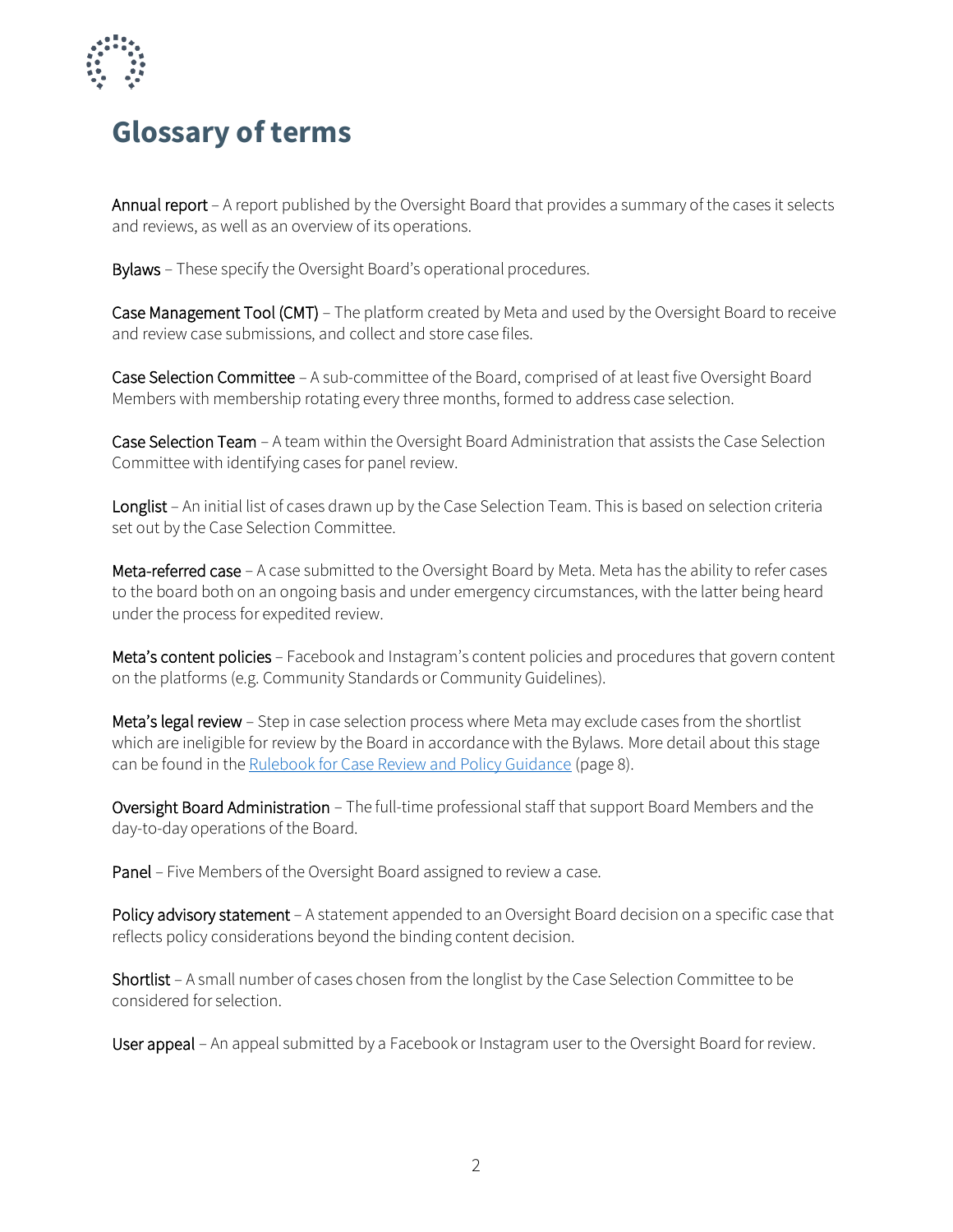

## **Glossary of terms**

Annual report – A report published by the Oversight Board that provides a summary of the cases it selects and reviews, as well as an overview of its operations.

Bylaws – These specify the Oversight Board's operational procedures.

Case Management Tool (CMT) – The platform created by Meta and used by the Oversight Board to receive and review case submissions, and collect and store case files.

Case Selection Committee – A sub-committee of the Board, comprised of at least five Oversight Board Members with membership rotating every three months, formed to address case selection.

Case Selection Team – A team within the Oversight Board Administration that assists the Case Selection Committee with identifying cases for panel review.

Longlist – An initial list of cases drawn up by the Case Selection Team. This is based on selection criteria set out by the Case Selection Committee.

Meta-referred case – A case submitted to the Oversight Board by Meta. Meta has the ability to refer cases to the board both on an ongoing basis and under emergency circumstances, with the latter being heard under the process for expedited review.

Meta's content policies – Facebook and Instagram's content policies and procedures that govern content on the platforms (e.g. Community Standards or Community Guidelines).

Meta's legal review – Step in case selection process where Meta may exclude cases from the shortlist which are ineligible for review by the Board in accordance with the Bylaws. More detail about this stage can be found in the [Rulebook for Case Review and Policy Guidance](https://www.oversightboard.com/sr/rulebook-for-case-review-and-policy-guidance) (page 8).

Oversight Board Administration – The full-time professional staff that support Board Members and the day-to-day operations of the Board.

Panel – Five Members of the Oversight Board assigned to review a case.

Policy advisory statement - A statement appended to an Oversight Board decision on a specific case that reflects policy considerations beyond the binding content decision.

Shortlist – A small number of cases chosen from the longlist by the Case Selection Committee to be considered for selection.

User appeal – An appeal submitted by a Facebook or Instagram user to the Oversight Board for review.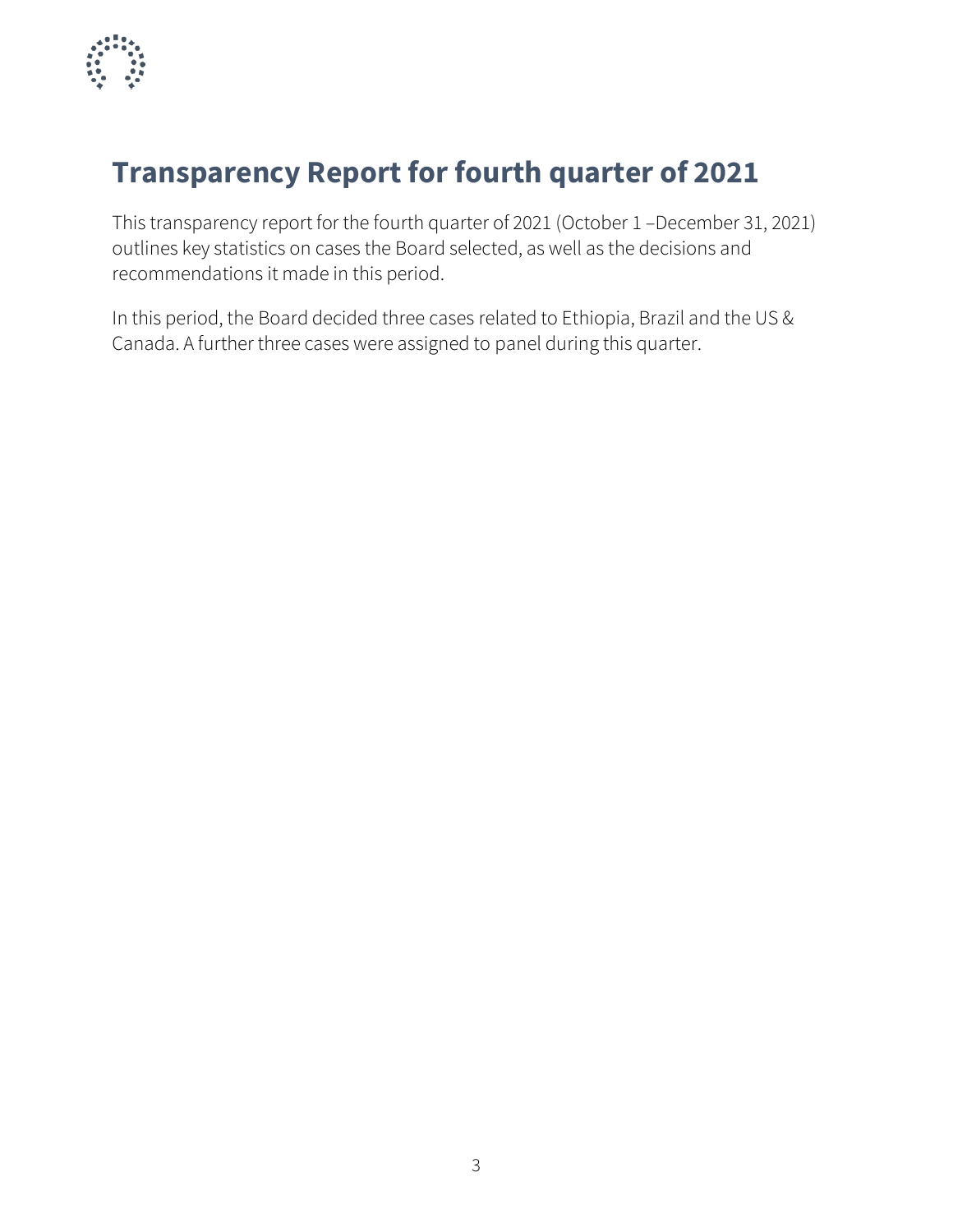

# **Transparency Report for fourth quarter of 2021**

This transparency report for the fourth quarter of 2021 (October 1 –December 31, 2021) outlines key statistics on cases the Board selected, as well as the decisions and recommendations it made in this period.

In this period, the Board decided three cases related to Ethiopia, Brazil and the US & Canada. A further three cases were assigned to panel during this quarter.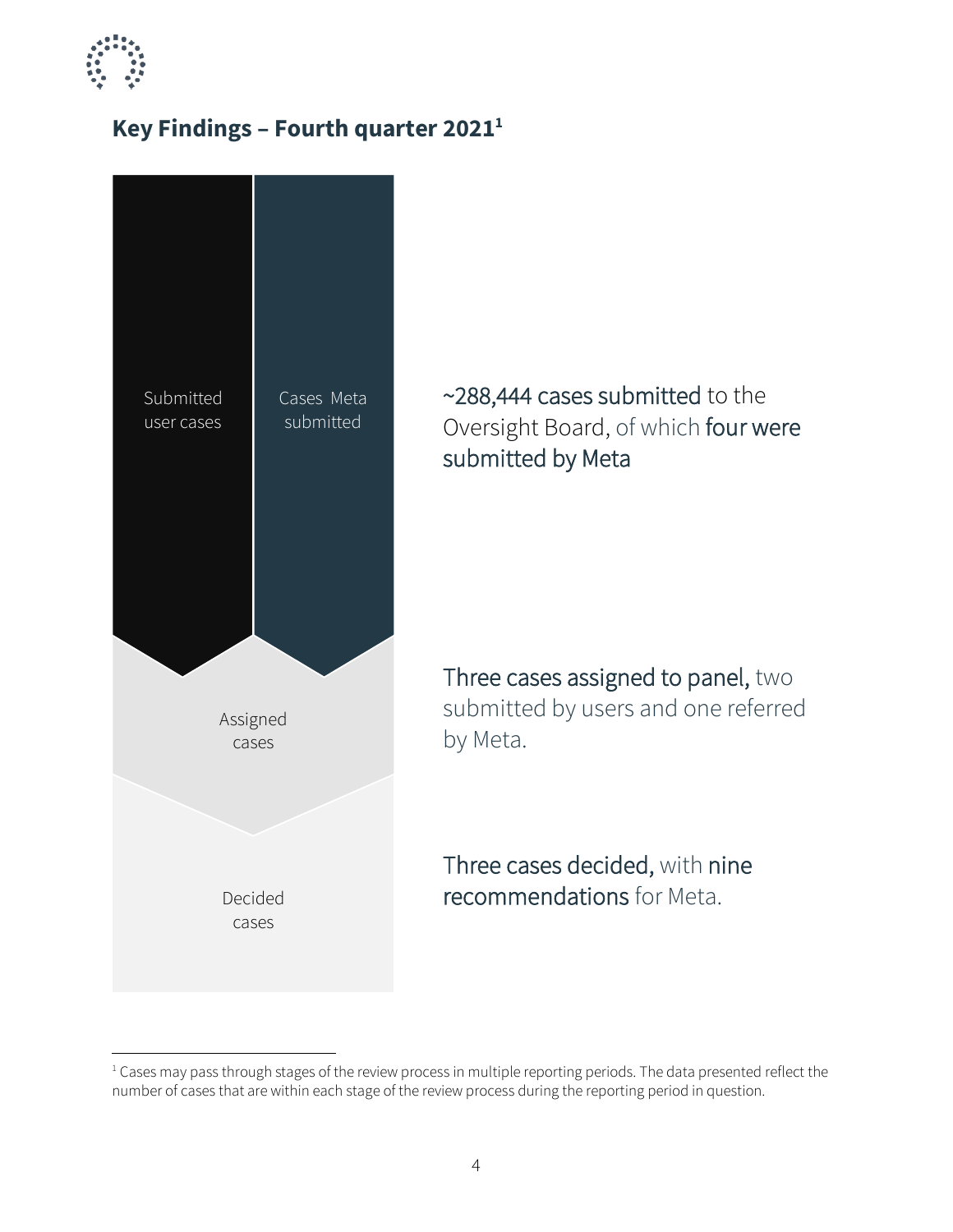

## **Key Findings – Fourth quarter 2021<sup>1</sup>**



~288,444 cases submitted to the Oversight Board, of which four were submitted by Meta

Three cases assigned to panel, two submitted by users and one referred by Meta.

Three cases decided, with nine recommendations for Meta.

<sup>&</sup>lt;sup>1</sup> Cases may pass through stages of the review process in multiple reporting periods. The data presented reflect the number of cases that are within each stage of the review process during the reporting period in question.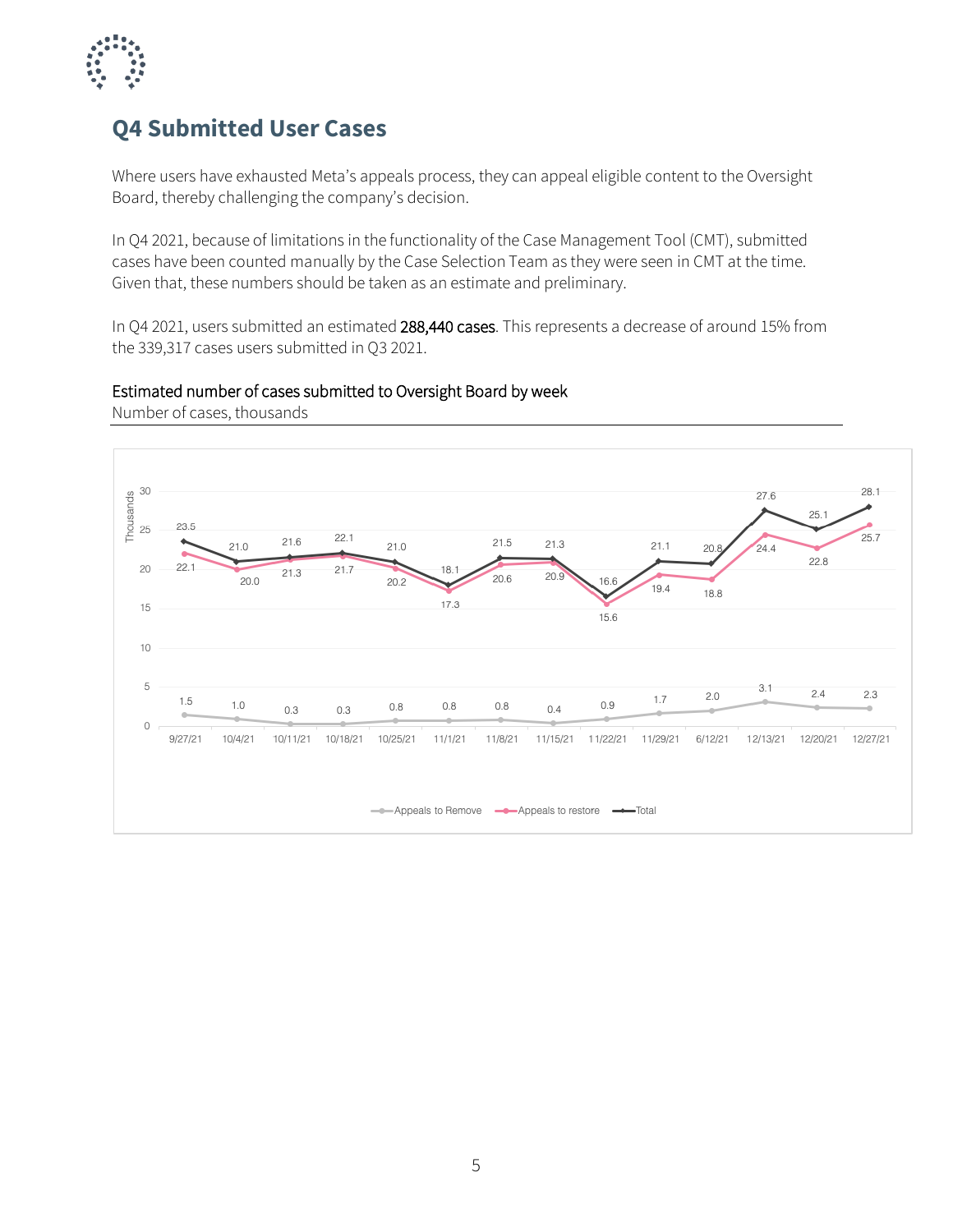

### **Q4 Submitted User Cases**

Where users have exhausted Meta's appeals process, they can appeal eligible content to the Oversight Board, thereby challenging the company's decision.

In Q4 2021, because of limitations in the functionality of the Case Management Tool (CMT), submitted cases have been counted manually by the Case Selection Team as they were seen in CMT at the time. Given that, these numbers should be taken as an estimate and preliminary.

In Q4 2021, users submitted an estimated 288,440 cases. This represents a decrease of around 15% from the 339,317 cases users submitted in Q3 2021.

#### Estimated number of cases submitted to Oversight Board by week



Number of cases, thousands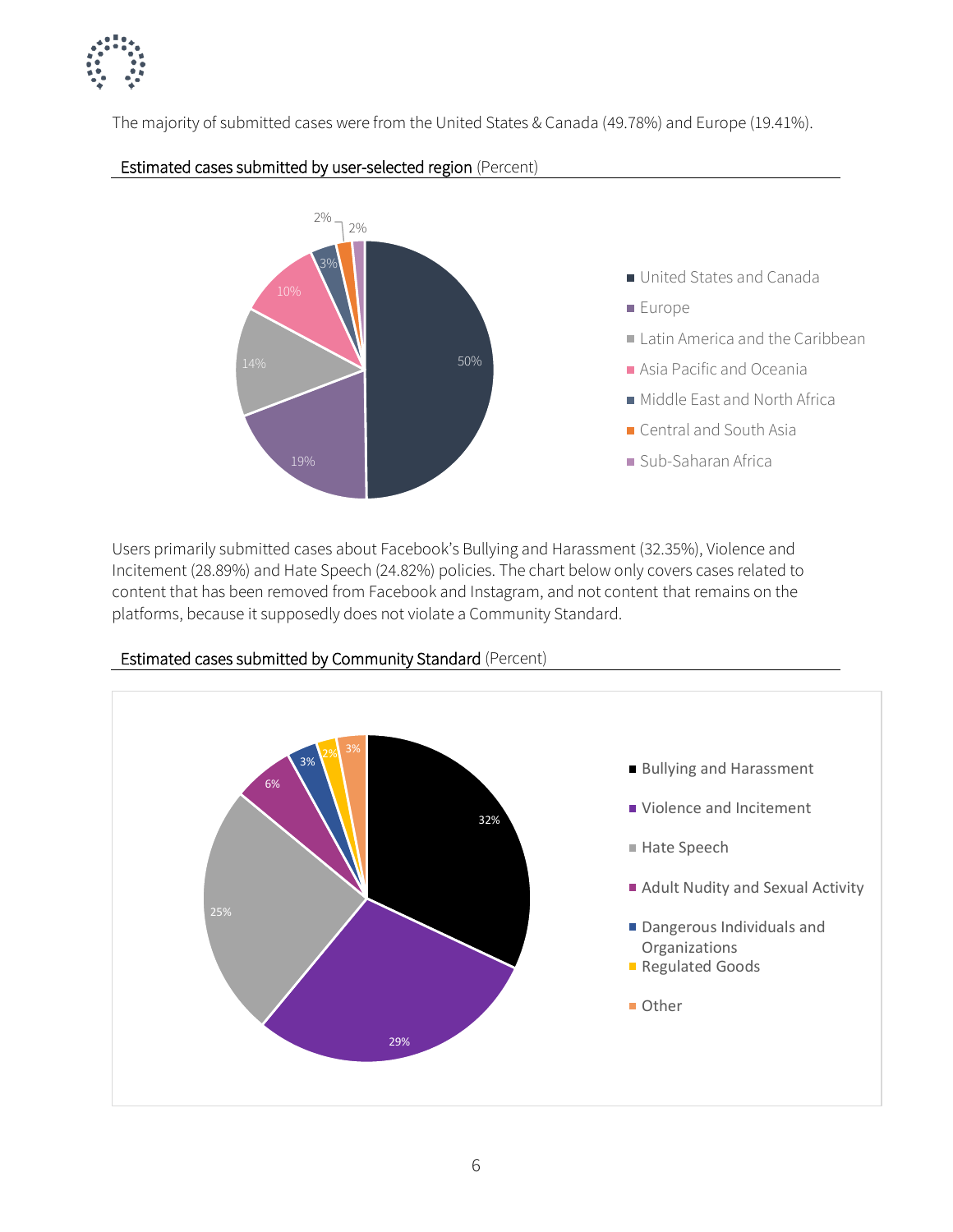

The majority of submitted cases were from the United States & Canada (49.78%) and Europe (19.41%).



#### Estimated cases submitted by user-selected region (Percent)

Users primarily submitted cases about Facebook's Bullying and Harassment (32.35%), Violence and Incitement (28.89%) and Hate Speech (24.82%) policies. The chart below only covers cases related to content that has been removed from Facebook and Instagram, and not content that remains on the platforms, because it supposedly does not violate a Community Standard.



Estimated cases submitted by Community Standard (Percent)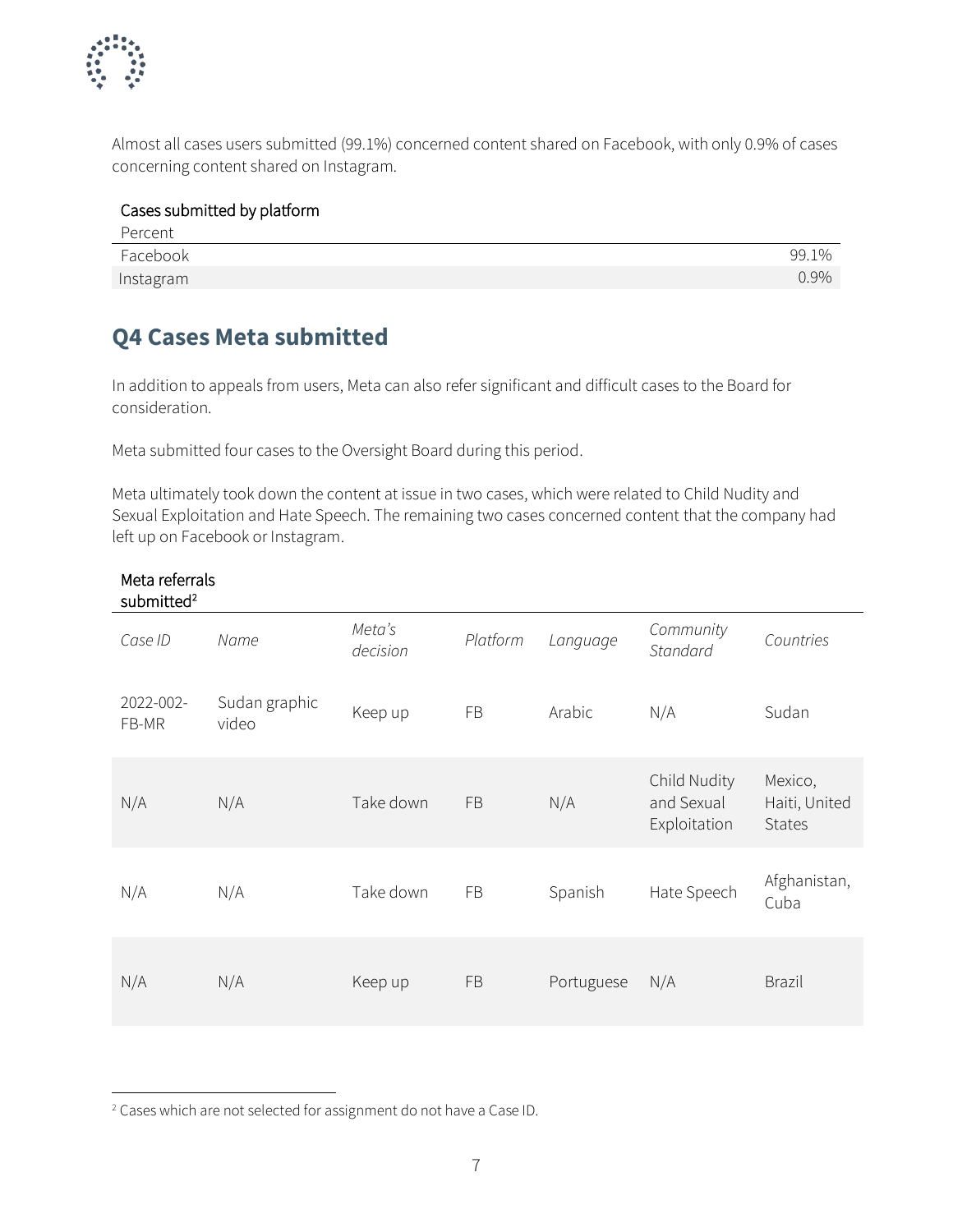

Almost all cases users submitted (99.1%) concerned content shared on Facebook, with only 0.9% of cases concerning content shared on Instagram.

| Cases submitted by platform |         |
|-----------------------------|---------|
| Percent                     |         |
| Facebook                    | 99.1%   |
| Instagram                   | $0.9\%$ |

## **Q4 Cases Meta submitted**

Meta referrals

In addition to appeals from users, Meta can also refer significant and difficult cases to the Board for consideration.

Meta submitted four cases to the Oversight Board during this period.

Meta ultimately took down the content at issue in two cases, which were related to Child Nudity and Sexual Exploitation and Hate Speech. The remaining two cases concerned content that the company had left up on Facebook or Instagram.

| submitted <sup>2</sup> |                        |                    |           |            |                                            |                                           |
|------------------------|------------------------|--------------------|-----------|------------|--------------------------------------------|-------------------------------------------|
| Case ID                | Name                   | Meta's<br>decision | Platform  | Language   | Community<br>Standard                      | Countries                                 |
| 2022-002-<br>FB-MR     | Sudan graphic<br>video | Keep up            | FB        | Arabic     | N/A                                        | Sudan                                     |
| N/A                    | N/A                    | Take down          | <b>FB</b> | N/A        | Child Nudity<br>and Sexual<br>Exploitation | Mexico,<br>Haiti, United<br><b>States</b> |
| N/A                    | N/A                    | Take down          | FB        | Spanish    | Hate Speech                                | Afghanistan,<br>Cuba                      |
| N/A                    | N/A                    | Keep up            | <b>FB</b> | Portuguese | N/A                                        | <b>Brazil</b>                             |

#### <sup>2</sup> Cases which are not selected for assignment do not have a Case ID.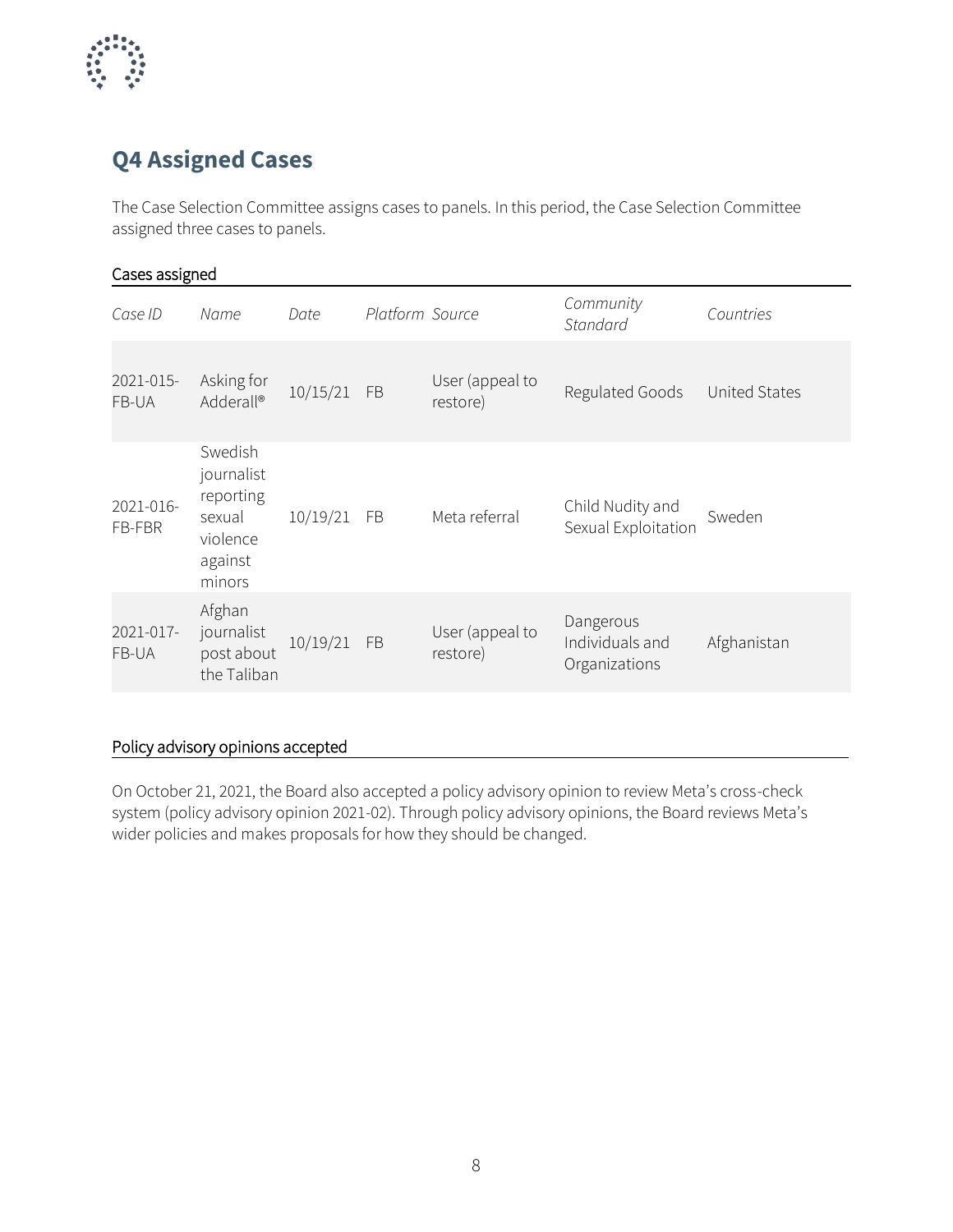

## **Q4 Assigned Cases**

The Case Selection Committee assigns cases to panels. In this period, the Case Selection Committee assigned three cases to panels.

| Cases assigned      |                                                                               |          |                 |                             |                                               |               |
|---------------------|-------------------------------------------------------------------------------|----------|-----------------|-----------------------------|-----------------------------------------------|---------------|
| Case ID             | Name                                                                          | Date     | Platform Source |                             | Community<br>Standard                         | Countries     |
| 2021-015-<br>FB-UA  | Asking for<br>Adderall®                                                       | 10/15/21 | <b>FB</b>       | User (appeal to<br>restore) | Regulated Goods                               | United States |
| 2021-016-<br>FB-FBR | Swedish<br>journalist<br>reporting<br>sexual<br>violence<br>against<br>minors | 10/19/21 | <b>FB</b>       | Meta referral               | Child Nudity and<br>Sexual Exploitation       | Sweden        |
| 2021-017-<br>FB-UA  | Afghan<br>journalist<br>post about<br>the Taliban                             | 10/19/21 | <b>FB</b>       | User (appeal to<br>restore) | Dangerous<br>Individuals and<br>Organizations | Afghanistan   |
|                     |                                                                               |          |                 |                             |                                               |               |

#### Policy advisory opinions accepted

On October 21, 2021, the Board also accepted a policy advisory opinion to review Meta's cross-check system (policy advisory opinion 2021-02). Through policy advisory opinions, the Board reviews Meta's wider policies and makes proposals for how they should be changed.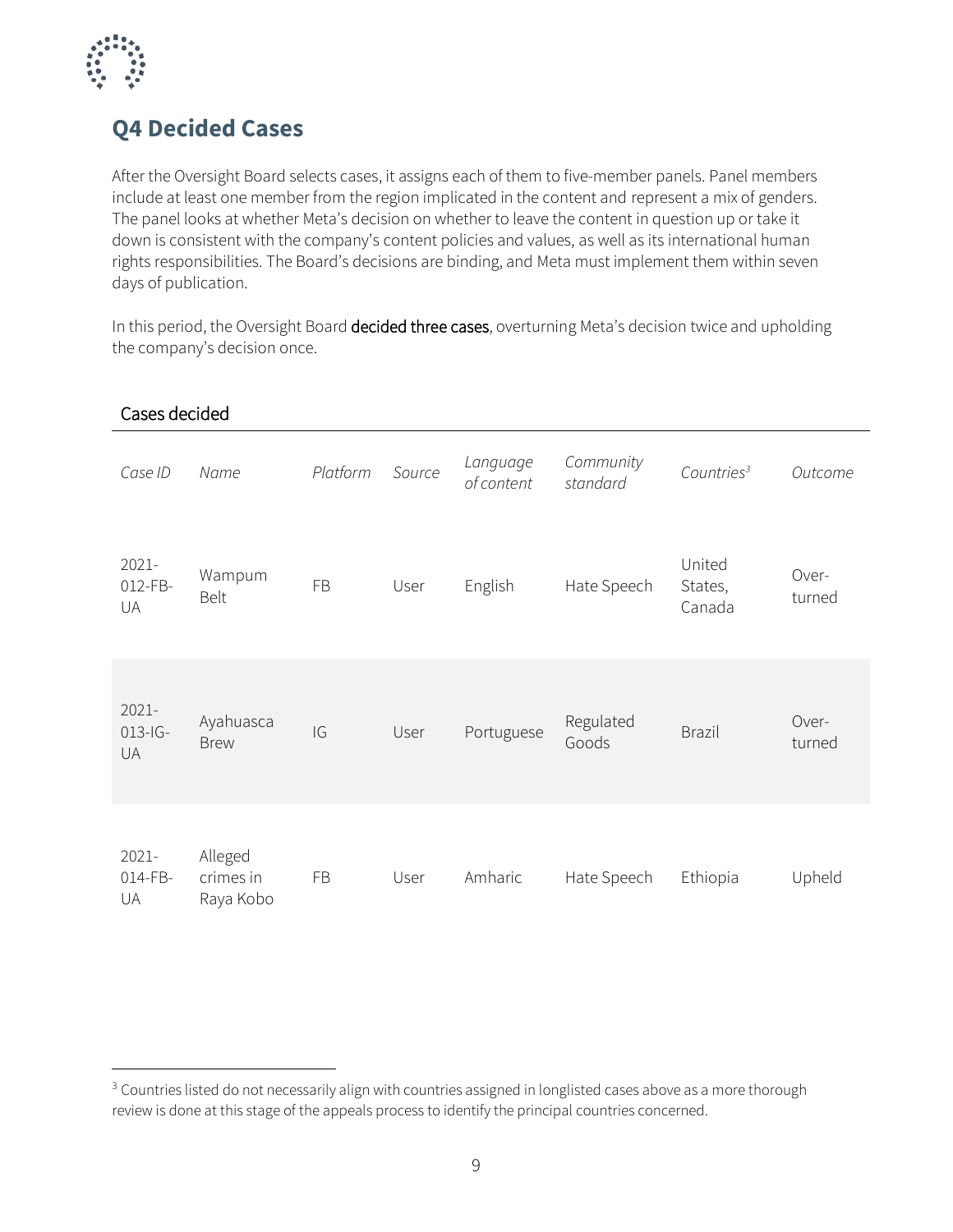

## **Q4 Decided Cases**

After the Oversight Board selects cases, it assigns each of them to five-member panels. Panel members include at least one member from the region implicated in the content and represent a mix of genders. The panel looks at whether Meta's decision on whether to leave the content in question up or take it down is consistent with the company's content policies and values, as well as its international human rights responsibilities. The Board's decisions are binding, and Meta must implement them within seven days of publication.

In this period, the Oversight Board decided three cases, overturning Meta's decision twice and upholding the company's decision once.

| Cases decided               |                                   |           |        |                        |                       |                             |                 |
|-----------------------------|-----------------------------------|-----------|--------|------------------------|-----------------------|-----------------------------|-----------------|
| Case ID                     | Name                              | Platform  | Source | Language<br>of content | Community<br>standard | Countries <sup>3</sup>      | Outcome         |
| 2021-<br>012-FB-<br>UA      | Wampum<br><b>Belt</b>             | FB        | User   | English                | Hate Speech           | United<br>States,<br>Canada | Over-<br>turned |
| 2021-<br>$013 - 1G -$<br>UA | Ayahuasca<br><b>Brew</b>          | IG        | User   | Portuguese             | Regulated<br>Goods    | <b>Brazil</b>               | Over-<br>turned |
| 2021-<br>014-FB-<br>UA      | Alleged<br>crimes in<br>Raya Kobo | <b>FB</b> | User   | Amharic                | Hate Speech           | Ethiopia                    | Upheld          |

<sup>&</sup>lt;sup>3</sup> Countries listed do not necessarily align with countries assigned in longlisted cases above as a more thorough review is done at this stage of the appeals process to identify the principal countries concerned.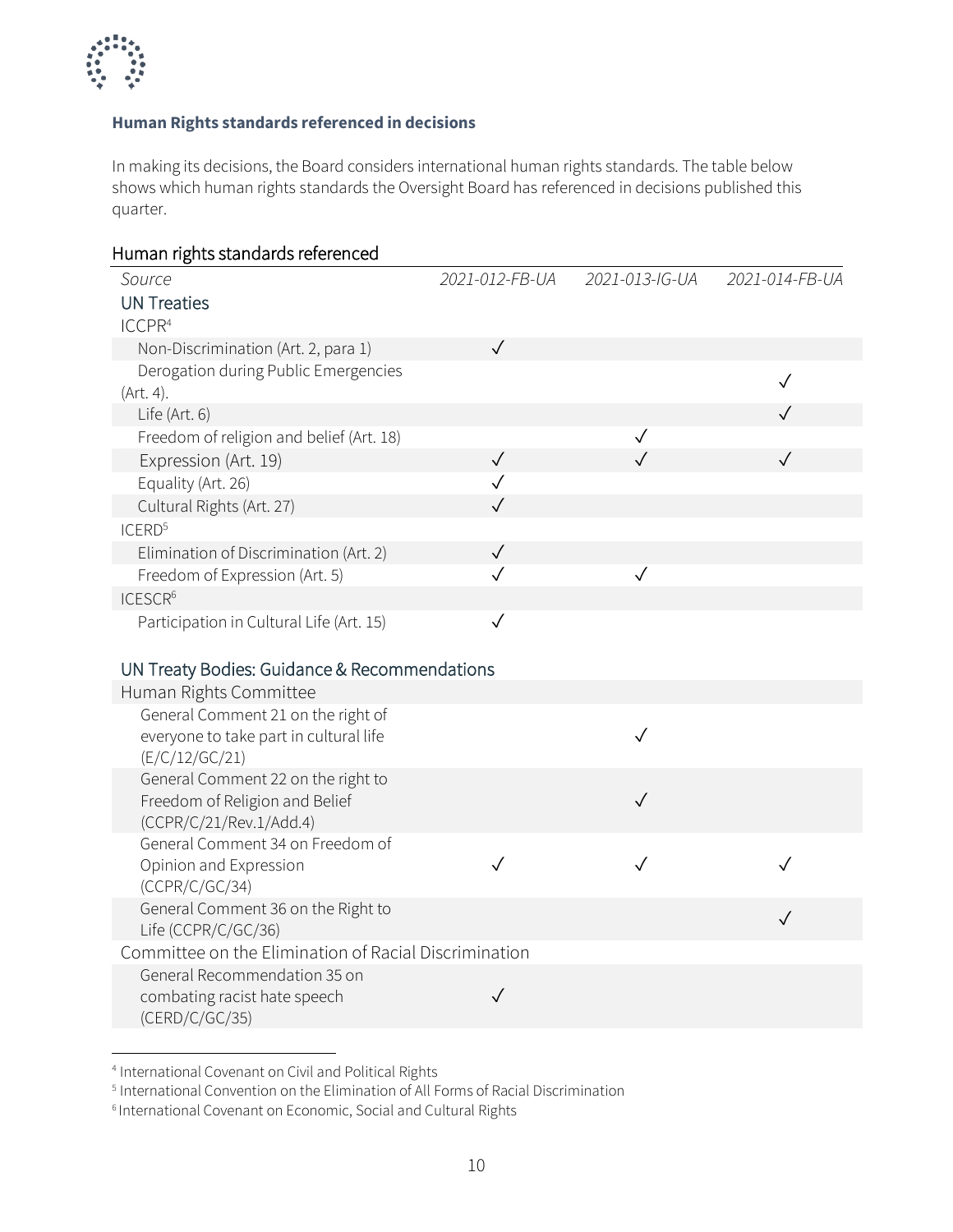

#### **Human Rights standards referenced in decisions**

In making its decisions, the Board considers international human rights standards. The table below shows which human rights standards the Oversight Board has referenced in decisions published this quarter.

| Human rights standards referenced                                    |                              |                |                |
|----------------------------------------------------------------------|------------------------------|----------------|----------------|
| Source<br><b>UN Treaties</b>                                         | 2021-012-FB-UA               | 2021-013-IG-UA | 2021-014-FB-UA |
| ICCPR <sup>4</sup>                                                   |                              |                |                |
| Non-Discrimination (Art. 2, para 1)                                  | $\checkmark$                 |                |                |
| Derogation during Public Emergencies                                 |                              |                | $\checkmark$   |
| (Art. 4).<br>Life (Art. 6)                                           |                              |                | $\sqrt{}$      |
| Freedom of religion and belief (Art. 18)                             |                              | $\checkmark$   |                |
| Expression (Art. 19)                                                 | $\checkmark$                 | $\checkmark$   | $\checkmark$   |
|                                                                      | $\checkmark$                 |                |                |
| Equality (Art. 26)                                                   | $\checkmark$                 |                |                |
| Cultural Rights (Art. 27)                                            |                              |                |                |
| ICERD <sup>5</sup>                                                   |                              |                |                |
| Elimination of Discrimination (Art. 2)                               | $\checkmark$<br>$\checkmark$ |                |                |
| Freedom of Expression (Art. 5)                                       |                              | $\checkmark$   |                |
| ICESCR <sup>6</sup>                                                  |                              |                |                |
| Participation in Cultural Life (Art. 15)                             | $\checkmark$                 |                |                |
|                                                                      |                              |                |                |
| UN Treaty Bodies: Guidance & Recommendations                         |                              |                |                |
| Human Rights Committee                                               |                              |                |                |
| General Comment 21 on the right of                                   |                              |                |                |
| everyone to take part in cultural life                               |                              | $\checkmark$   |                |
| (E/C/12/GC/21)                                                       |                              |                |                |
| General Comment 22 on the right to<br>Freedom of Religion and Belief |                              | $\checkmark$   |                |
| (CCPR/C/21/Rev.1/Add.4)                                              |                              |                |                |
| General Comment 34 on Freedom of                                     |                              |                |                |
| Opinion and Expression                                               | $\sqrt{}$                    | $\checkmark$   |                |
| (CCPR/C/GC/34)                                                       |                              |                |                |
| General Comment 36 on the Right to                                   |                              |                |                |
| Life (CCPR/C/GC/36)                                                  |                              |                | $\checkmark$   |
| Committee on the Elimination of Racial Discrimination                |                              |                |                |
| General Recommendation 35 on                                         |                              |                |                |
| combating racist hate speech                                         | $\checkmark$                 |                |                |
| (CERD/C/GC/35)                                                       |                              |                |                |

<sup>4</sup> International Covenant on Civil and Political Rights

<sup>5</sup> International Convention on the Elimination of All Forms of Racial Discrimination

<sup>&</sup>lt;sup>6</sup> International Covenant on Economic, Social and Cultural Rights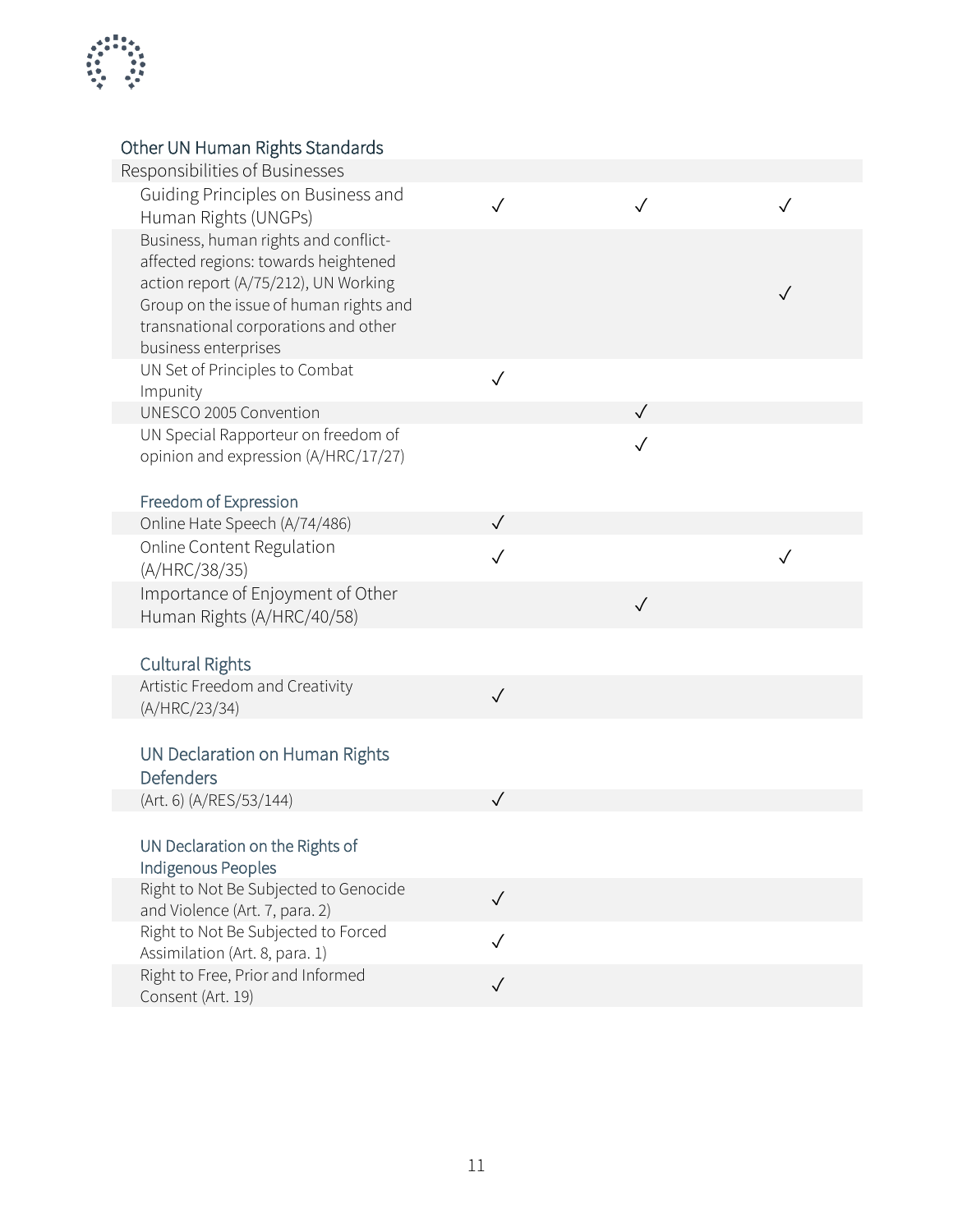

#### Other UN Human Rights Standards

| Other UN Human Rights Standards                                       |              |              |              |
|-----------------------------------------------------------------------|--------------|--------------|--------------|
| Responsibilities of Businesses                                        |              |              |              |
| Guiding Principles on Business and<br>Human Rights (UNGPs)            | $\checkmark$ | $\sqrt{}$    | $\checkmark$ |
| Business, human rights and conflict-                                  |              |              |              |
| affected regions: towards heightened                                  |              |              |              |
| action report (A/75/212), UN Working                                  |              |              |              |
| Group on the issue of human rights and                                |              |              |              |
| transnational corporations and other                                  |              |              |              |
| business enterprises                                                  |              |              |              |
| UN Set of Principles to Combat                                        | $\checkmark$ |              |              |
| Impunity<br>UNESCO 2005 Convention                                    |              | $\checkmark$ |              |
| UN Special Rapporteur on freedom of                                   |              |              |              |
| opinion and expression (A/HRC/17/27)                                  |              | $\checkmark$ |              |
|                                                                       |              |              |              |
| Freedom of Expression                                                 |              |              |              |
| Online Hate Speech (A/74/486)                                         | $\sqrt{}$    |              |              |
| Online Content Regulation                                             | $\sqrt{}$    |              |              |
| (A/HRC/38/35)                                                         |              |              |              |
| Importance of Enjoyment of Other                                      |              | $\checkmark$ |              |
| Human Rights (A/HRC/40/58)                                            |              |              |              |
|                                                                       |              |              |              |
| <b>Cultural Rights</b>                                                |              |              |              |
| Artistic Freedom and Creativity                                       | $\checkmark$ |              |              |
| (A/HRC/23/34)                                                         |              |              |              |
| UN Declaration on Human Rights                                        |              |              |              |
| <b>Defenders</b>                                                      |              |              |              |
| (Art. 6) (A/RES/53/144)                                               | $\checkmark$ |              |              |
|                                                                       |              |              |              |
| UN Declaration on the Rights of                                       |              |              |              |
| Indigenous Peoples                                                    |              |              |              |
| Right to Not Be Subjected to Genocide                                 | $\sqrt{}$    |              |              |
| and Violence (Art. 7, para. 2)                                        |              |              |              |
| Right to Not Be Subjected to Forced<br>Assimilation (Art. 8, para. 1) |              |              |              |
| Right to Free, Prior and Informed                                     |              |              |              |
| Consent (Art. 19)                                                     | $\checkmark$ |              |              |
|                                                                       |              |              |              |
|                                                                       |              |              |              |
|                                                                       |              |              |              |
|                                                                       |              |              |              |
|                                                                       |              |              |              |
|                                                                       |              |              |              |
| 11                                                                    |              |              |              |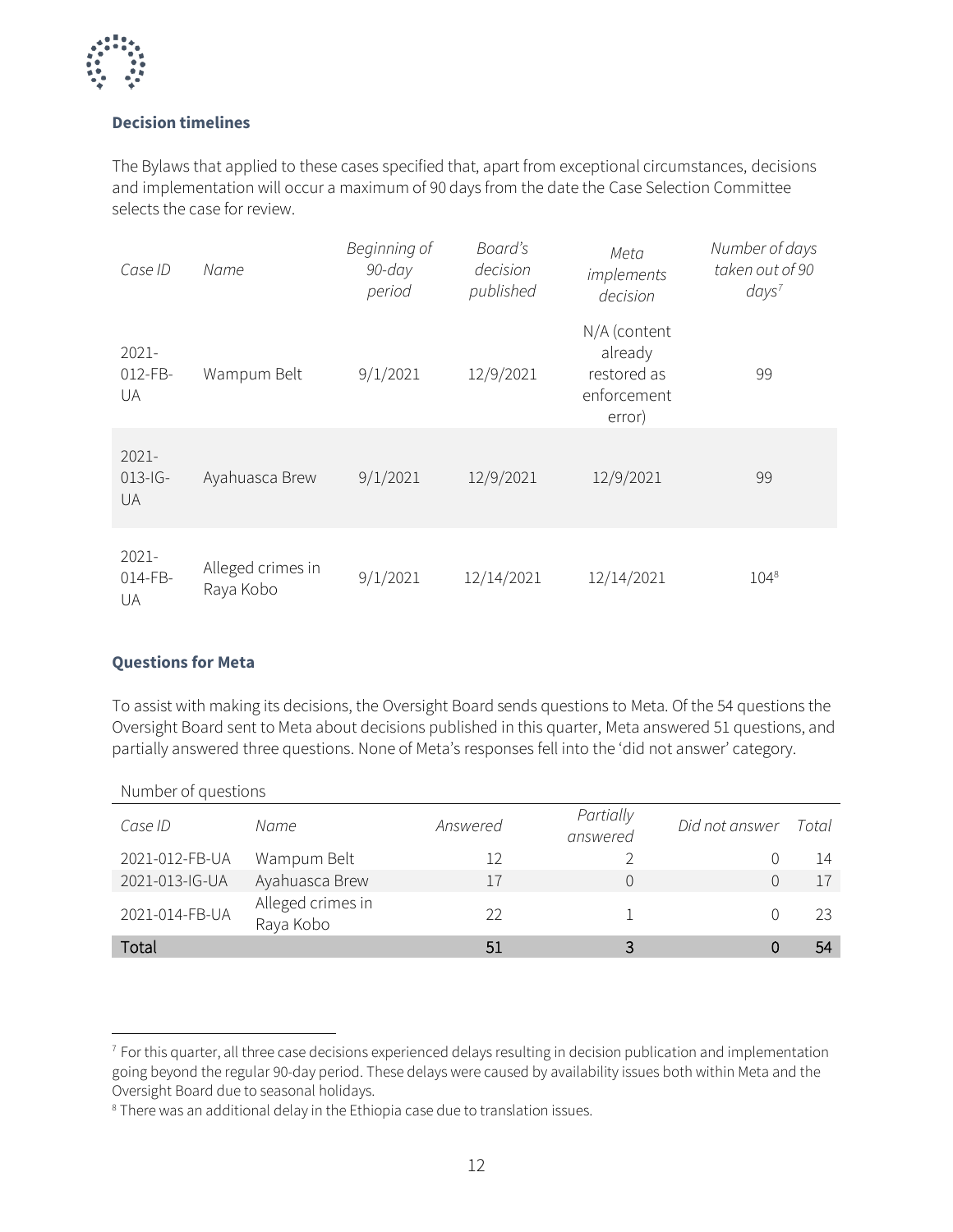

#### **Decision timelines**

The Bylaws that applied to these cases specified that, apart from exceptional circumstances, decisions and implementation will occur a maximum of 90 days from the date the Case Selection Committee selects the case for review.

| Case ID                     | Name                           | Beginning of<br>$90$ -day<br>period | Board's<br>decision<br>published | Meta<br>implements<br>decision                                  | Number of days<br>taken out of 90<br>days <sup>7</sup> |
|-----------------------------|--------------------------------|-------------------------------------|----------------------------------|-----------------------------------------------------------------|--------------------------------------------------------|
| 2021-<br>$012$ -FB-<br>UA   | Wampum Belt                    | 9/1/2021                            | 12/9/2021                        | N/A (content<br>already<br>restored as<br>enforcement<br>error) | 99                                                     |
| 2021-<br>$013 - 1G -$<br>UA | Ayahuasca Brew                 | 9/1/2021                            | 12/9/2021                        | 12/9/2021                                                       | 99                                                     |
| 2021-<br>014-FB-<br>UA      | Alleged crimes in<br>Raya Kobo | 9/1/2021                            | 12/14/2021                       | 12/14/2021                                                      | $104^{8}$                                              |

#### **Questions for Meta**

To assist with making its decisions, the Oversight Board sends questions to Meta. Of the 54 questions the Oversight Board sent to Meta about decisions published in this quarter, Meta answered 51 questions, and partially answered three questions. None of Meta's responses fell into the 'did not answer' category.

| Number of questions |                                |          |                       |                |       |
|---------------------|--------------------------------|----------|-----------------------|----------------|-------|
| Case ID             | Name                           | Answered | Partially<br>answered | Did not answer | Total |
| 2021-012-FB-UA      | Wampum Belt                    | 12       |                       |                | 14    |
| 2021-013-IG-UA      | Ayahuasca Brew                 | 17       |                       |                | 17    |
| 2021-014-FB-UA      | Alleged crimes in<br>Raya Kobo | 22       |                       |                | 23    |
| Total               |                                | 51       |                       |                | 54    |

<sup>&</sup>lt;sup>7</sup> For this quarter, all three case decisions experienced delays resulting in decision publication and implementation going beyond the regular 90-day period. These delays were caused by availability issues both within Meta and the Oversight Board due to seasonal holidays.

<sup>8</sup> There was an additional delay in the Ethiopia case due to translation issues.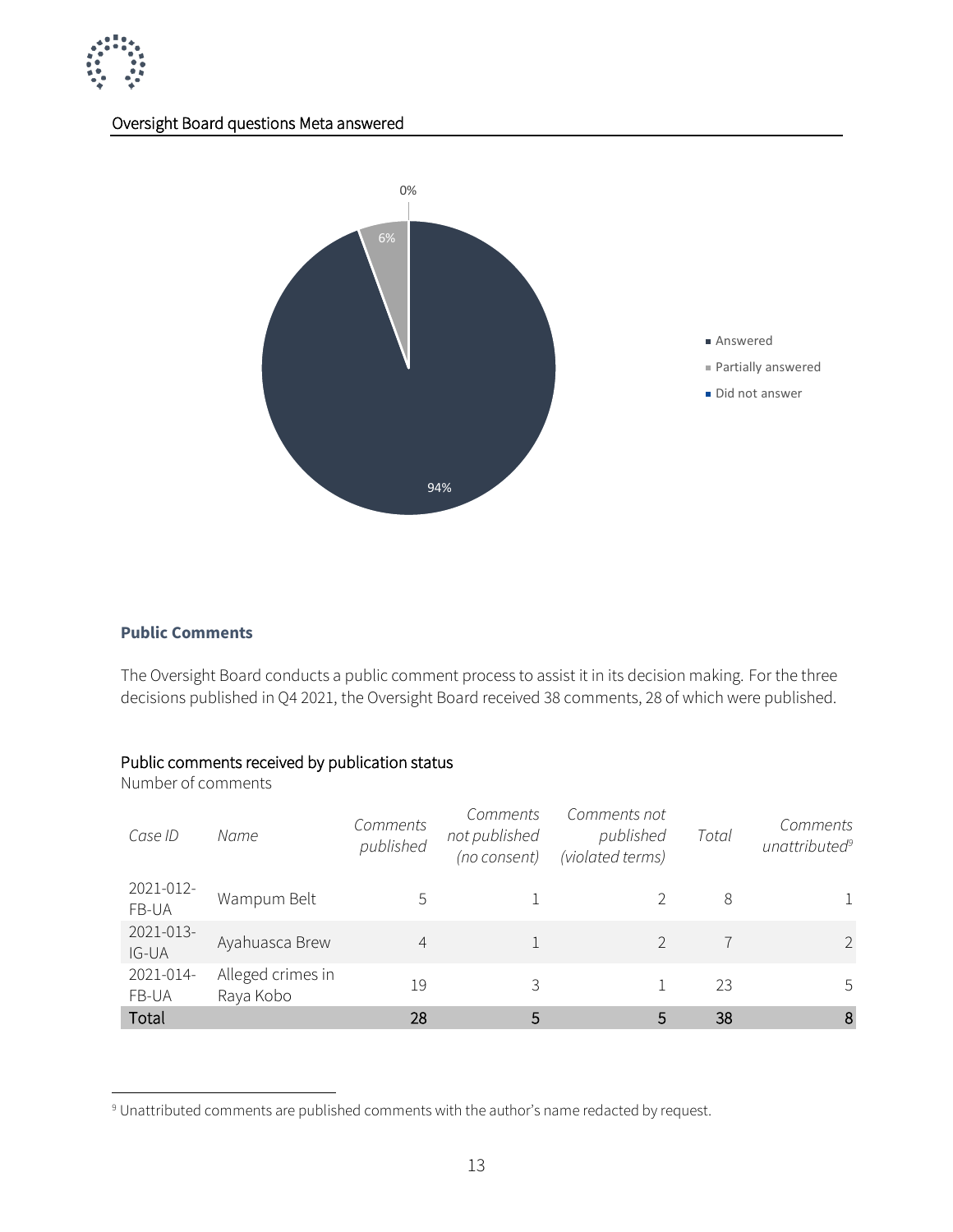

#### Oversight Board questions Meta answered



#### **Public Comments**

The Oversight Board conducts a public comment process to assist it in its decision making. For the three decisions published in Q4 2021, the Oversight Board received 38 comments, 28 of which were published.

#### Public comments received by publication status

Number of comments

| Case ID            | Name                           | Comments<br>published | Comments<br>not published<br>(no consent) | Comments not<br>published<br>(violated terms) | Total | Comments<br>unattributed <sup>9</sup> |
|--------------------|--------------------------------|-----------------------|-------------------------------------------|-----------------------------------------------|-------|---------------------------------------|
| 2021-012-<br>FB-UA | Wampum Belt                    | 5                     |                                           |                                               | 8     |                                       |
| 2021-013-<br>IG-UA | Ayahuasca Brew                 | 4                     |                                           |                                               |       | $\mathcal{P}$                         |
| 2021-014-<br>FB-UA | Alleged crimes in<br>Raya Kobo | 19                    | 3                                         |                                               | 23    | 5                                     |
| Total              |                                | 28                    | 5                                         | 5                                             | 38    | 8                                     |

<sup>9</sup> Unattributed comments are published comments with the author's name redacted by request.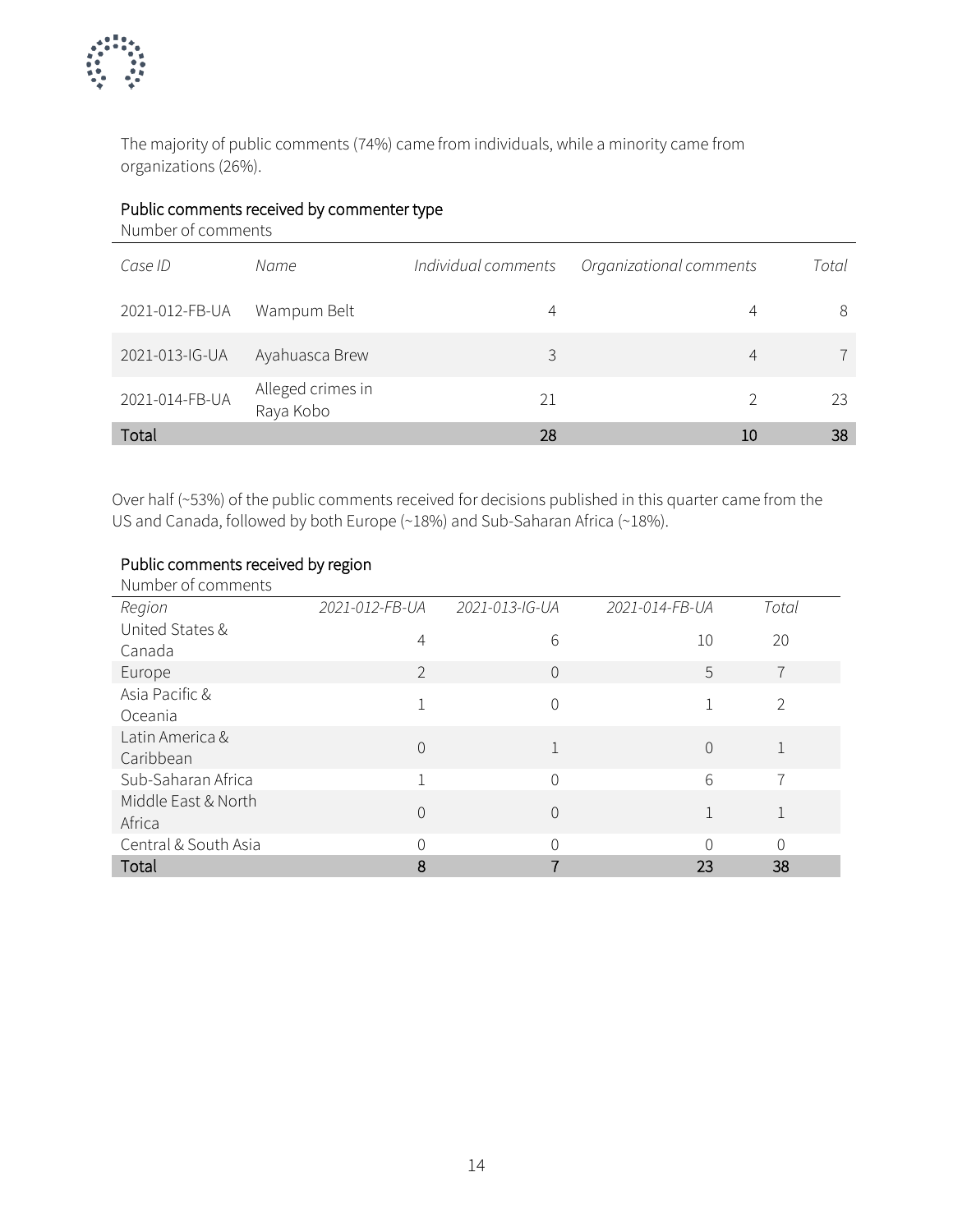

The majority of public comments (74%) came from individuals, while a minority came from organizations (26%).

#### Public comments received by commenter type

Number of comments

| Case ID        | Name                           | Individual comments | Organizational comments | Total |
|----------------|--------------------------------|---------------------|-------------------------|-------|
| 2021-012-FB-UA | Wampum Belt                    | 4                   |                         | 8     |
| 2021-013-IG-UA | Ayahuasca Brew                 | 3                   | 4                       |       |
| 2021-014-FB-UA | Alleged crimes in<br>Raya Kobo | 21                  |                         | 23    |
| Total          |                                | 28                  | 10                      | 38    |

Over half (~53%) of the public comments received for decisions published in this quarter came from the US and Canada, followed by both Europe (~18%) and Sub-Saharan Africa (~18%).

#### Public comments received by region

| Number of comments            |                |                |                |                |
|-------------------------------|----------------|----------------|----------------|----------------|
| Region                        | 2021-012-FB-UA | 2021-013-IG-UA | 2021-014-FB-UA | Total          |
| United States &<br>Canada     | 4              | 6              | 10             | 20             |
| Europe                        | $\overline{2}$ | $\Omega$       | 5              | $\overline{7}$ |
| Asia Pacific &<br>Oceania     |                | 0              |                | $\overline{2}$ |
| Latin America &<br>Caribbean  | 0              |                | $\Omega$       |                |
| Sub-Saharan Africa            |                | $\Omega$       | 6              | 7              |
| Middle East & North<br>Africa | 0              | $\Omega$       |                |                |
| Central & South Asia          | ∩              | 0              | ∩              | 0              |
| Total                         | 8              |                | 23             | 38             |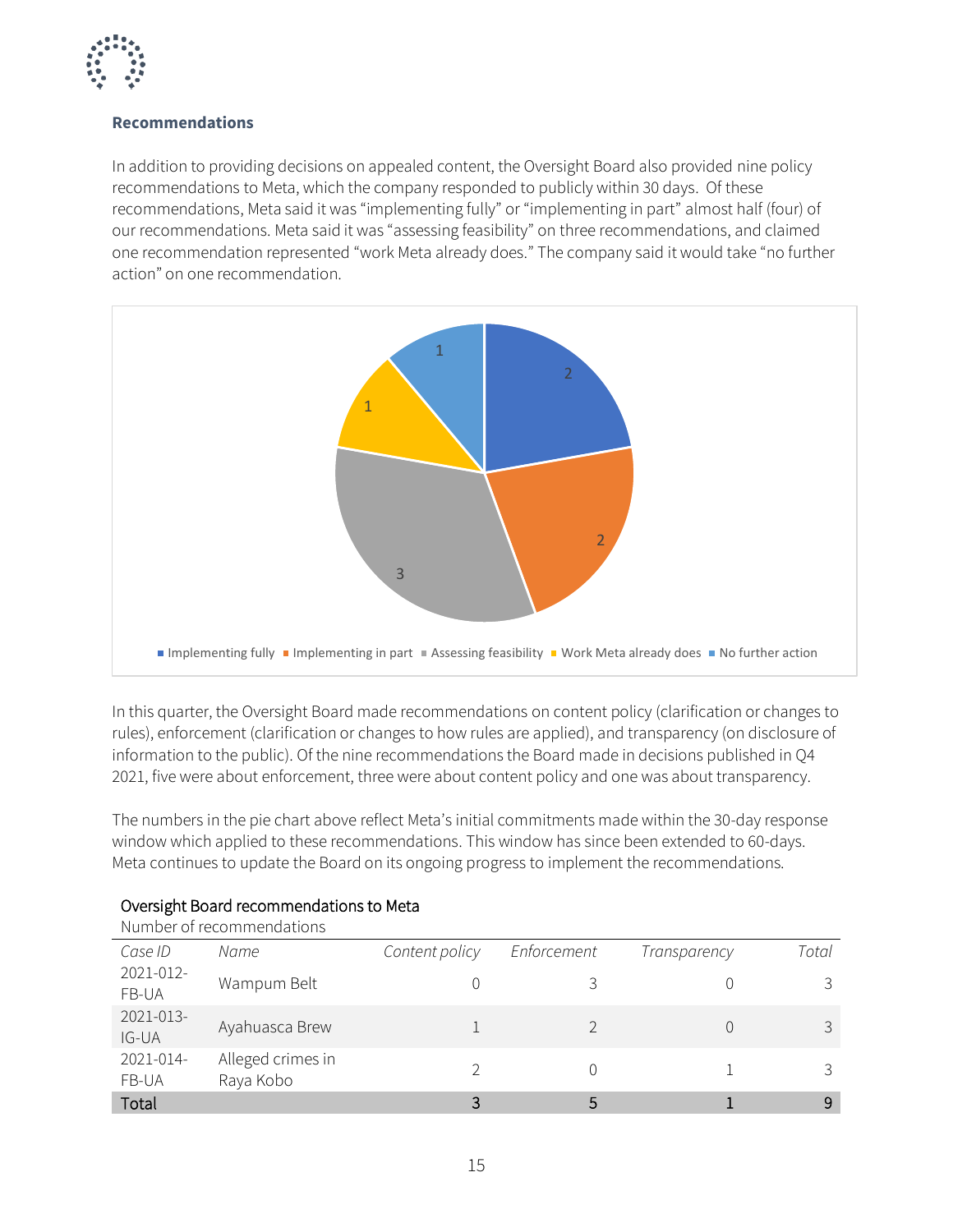

#### **Recommendations**

In addition to providing decisions on appealed content, the Oversight Board also provided nine policy recommendations to Meta, which the company responded to publicly within 30 days. Of these recommendations, Meta said it was "implementing fully" or "implementing in part" almost half (four) of our recommendations. Meta said it was "assessing feasibility" on three recommendations, and claimed one recommendation represented "work Meta already does." The company said it would take "no further action" on one recommendation.



In this quarter, the Oversight Board made recommendations on content policy (clarification or changes to rules), enforcement (clarification or changes to how rules are applied), and transparency (on disclosure of information to the public). Of the nine recommendations the Board made in decisions published in Q4 2021, five were about enforcement, three were about content policy and one was about transparency.

The numbers in the pie chart above reflect Meta's initial commitments made within the 30-day response window which applied to these recommendations. This window has since been extended to 60-days. Meta continues to update the Board on its ongoing progress to implement the recommendations.

|                    | Number of recommendations      |                |             |              |       |
|--------------------|--------------------------------|----------------|-------------|--------------|-------|
| Case ID            | Name                           | Content policy | Enforcement | Transparency | Total |
| 2021-012-<br>FB-UA | Wampum Belt                    |                |             |              |       |
| 2021-013-<br>IG-UA | Ayahuasca Brew                 |                |             |              |       |
| 2021-014-<br>FB-UA | Alleged crimes in<br>Raya Kobo |                |             |              |       |
| Total              |                                |                | 5           |              | 9     |

#### Oversight Board recommendations to Meta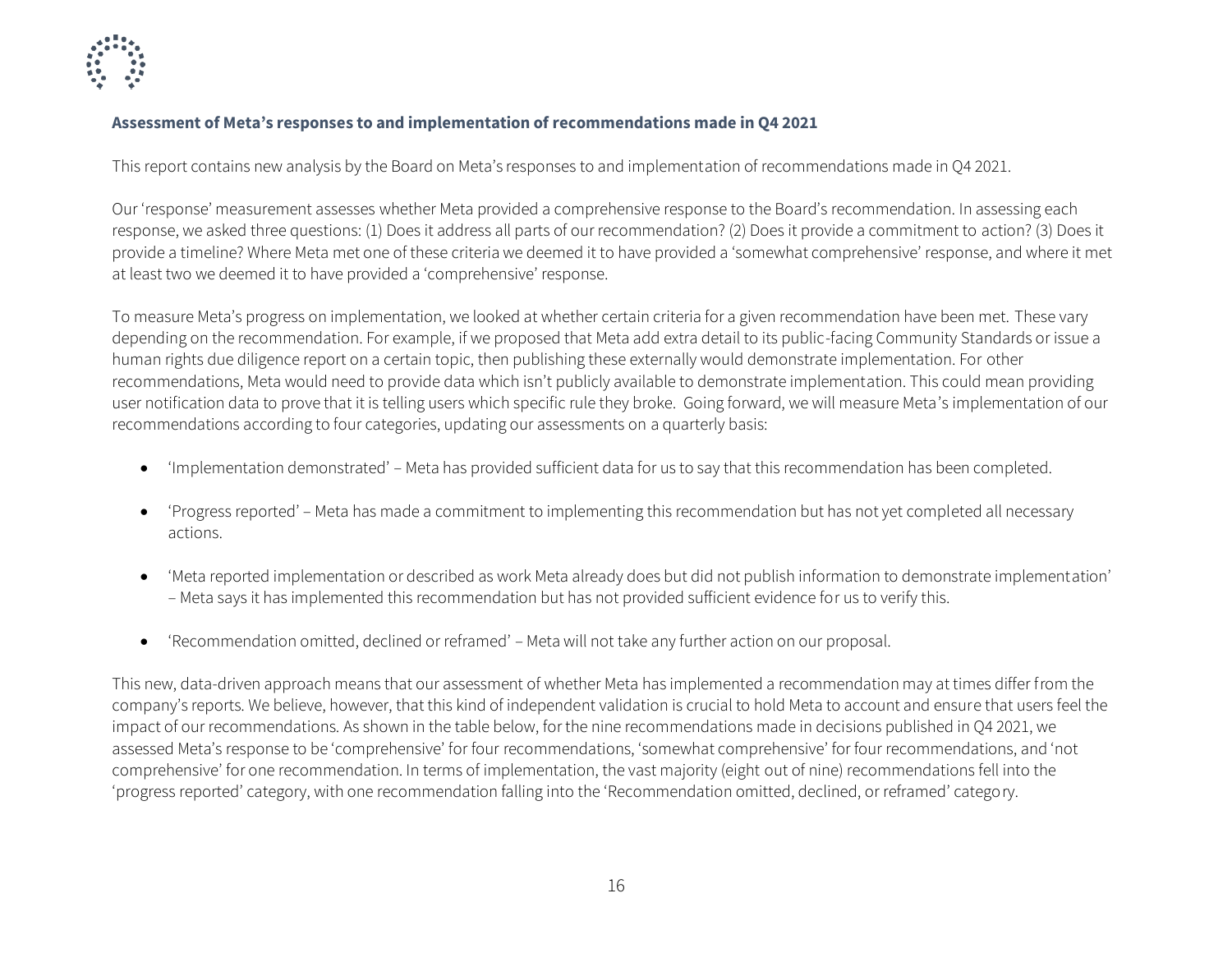

#### **Assessment of Meta's responses to and implementation of recommendations made in Q4 2021**

This report contains new analysis by the Board on Meta's responses to and implementation of recommendations made in Q4 2021.

Our 'response' measurement assesses whether Meta provided a comprehensive response to the Board's recommendation. In assessing each response, we asked three questions: (1) Does it address all parts of our recommendation? (2) Does it provide a commitment to action? (3) Does it provide a timeline? Where Meta met one of these criteria we deemed it to have provided a 'somewhat comprehensive' response, and where it met at least two we deemed it to have provided a 'comprehensive' response.

To measure Meta's progress on implementation, we looked at whether certain criteria for a given recommendation have been met. These vary depending on the recommendation. For example, if we proposed that Meta add extra detail to its public-facing Community Standards or issue a human rights due diligence report on a certain topic, then publishing these externally would demonstrate implementation. For other recommendations, Meta would need to provide data which isn't publicly available to demonstrate implementation. This could mean providing user notification data to prove that it is telling users which specific rule they broke. Going forward, we will measure Meta's implementation of our recommendations according to four categories, updating our assessments on a quarterly basis:

- 'Implementation demonstrated' Meta has provided sufficient data for us to say that this recommendation has been completed.
- 'Progress reported' Meta has made a commitment to implementing this recommendation but has not yet completed all necessary actions.
- 'Meta reported implementation or described as work Meta already does but did not publish information to demonstrate implementation' – Meta says it has implemented this recommendation but has not provided sufficient evidence for us to verify this.
- 'Recommendation omitted, declined or reframed' Meta will not take any further action on our proposal.

This new, data-driven approach means that our assessment of whether Meta has implemented a recommendation may at times differ from the company's reports. We believe, however, that this kind of independent validation is crucial to hold Meta to account and ensure that users feel the impact of our recommendations. As shown in the table below, for the nine recommendations made in decisions published in Q4 2021, we assessed Meta's response to be 'comprehensive' for four recommendations, 'somewhat comprehensive' for four recommendations, and 'not comprehensive' for one recommendation. In terms of implementation, the vast majority (eight out of nine) recommendations fell into the 'progress reported' category, with one recommendation falling into the 'Recommendation omitted, declined, or reframed' category.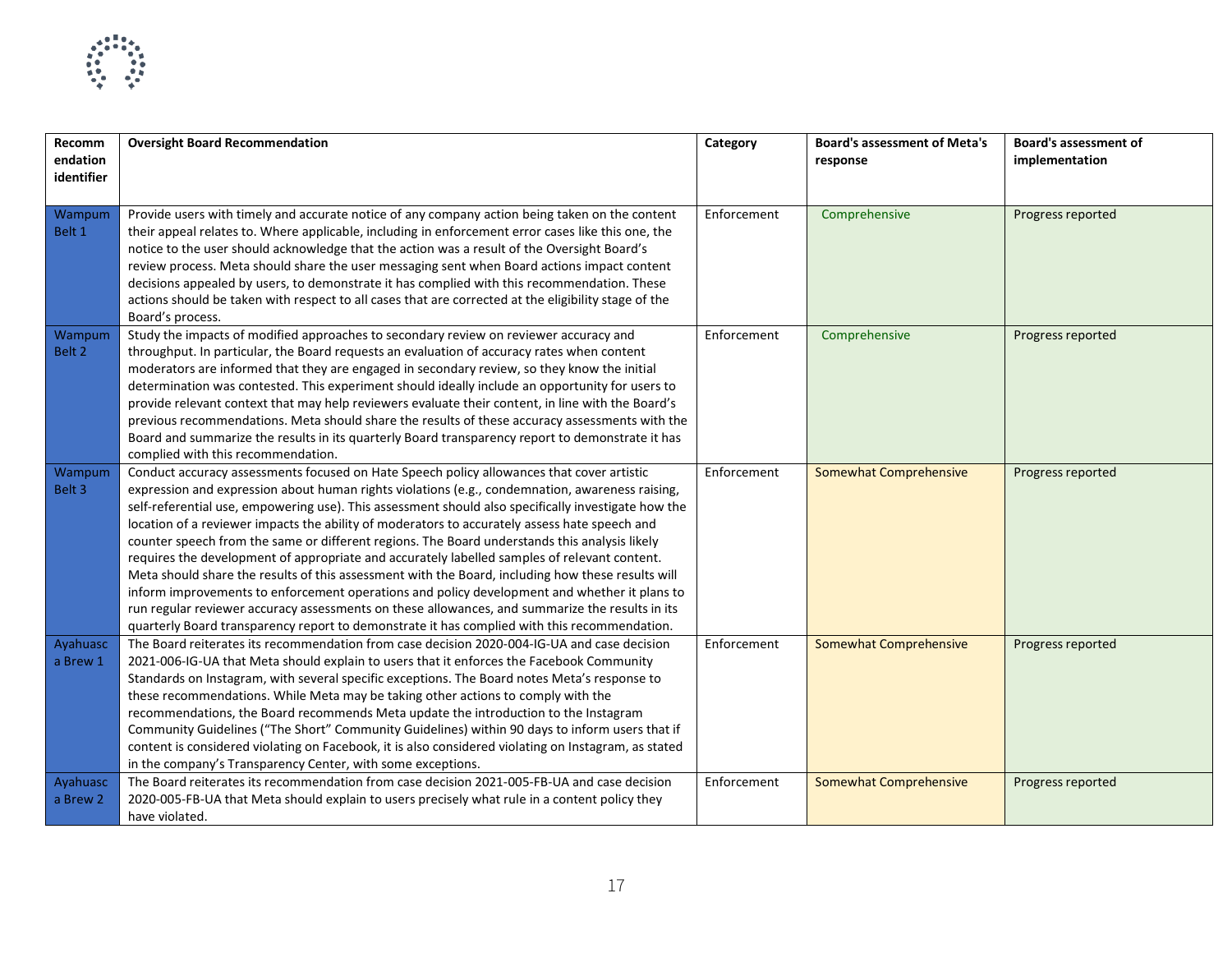

| Recomm<br>endation | <b>Oversight Board Recommendation</b>                                                                | Category    | <b>Board's assessment of Meta's</b><br>response | <b>Board's assessment of</b><br>implementation |
|--------------------|------------------------------------------------------------------------------------------------------|-------------|-------------------------------------------------|------------------------------------------------|
| identifier         |                                                                                                      |             |                                                 |                                                |
|                    |                                                                                                      |             |                                                 |                                                |
| Wampum             | Provide users with timely and accurate notice of any company action being taken on the content       | Enforcement | Comprehensive                                   | Progress reported                              |
| Belt 1             | their appeal relates to. Where applicable, including in enforcement error cases like this one, the   |             |                                                 |                                                |
|                    | notice to the user should acknowledge that the action was a result of the Oversight Board's          |             |                                                 |                                                |
|                    | review process. Meta should share the user messaging sent when Board actions impact content          |             |                                                 |                                                |
|                    | decisions appealed by users, to demonstrate it has complied with this recommendation. These          |             |                                                 |                                                |
|                    | actions should be taken with respect to all cases that are corrected at the eligibility stage of the |             |                                                 |                                                |
|                    | Board's process.                                                                                     |             |                                                 |                                                |
| Wampum             | Study the impacts of modified approaches to secondary review on reviewer accuracy and                | Enforcement | Comprehensive                                   | Progress reported                              |
| Belt 2             | throughput. In particular, the Board requests an evaluation of accuracy rates when content           |             |                                                 |                                                |
|                    | moderators are informed that they are engaged in secondary review, so they know the initial          |             |                                                 |                                                |
|                    | determination was contested. This experiment should ideally include an opportunity for users to      |             |                                                 |                                                |
|                    | provide relevant context that may help reviewers evaluate their content, in line with the Board's    |             |                                                 |                                                |
|                    | previous recommendations. Meta should share the results of these accuracy assessments with the       |             |                                                 |                                                |
|                    | Board and summarize the results in its quarterly Board transparency report to demonstrate it has     |             |                                                 |                                                |
|                    | complied with this recommendation.                                                                   |             |                                                 |                                                |
| Wampum             | Conduct accuracy assessments focused on Hate Speech policy allowances that cover artistic            | Enforcement | Somewhat Comprehensive                          | Progress reported                              |
| Belt 3             | expression and expression about human rights violations (e.g., condemnation, awareness raising,      |             |                                                 |                                                |
|                    | self-referential use, empowering use). This assessment should also specifically investigate how the  |             |                                                 |                                                |
|                    | location of a reviewer impacts the ability of moderators to accurately assess hate speech and        |             |                                                 |                                                |
|                    | counter speech from the same or different regions. The Board understands this analysis likely        |             |                                                 |                                                |
|                    | requires the development of appropriate and accurately labelled samples of relevant content.         |             |                                                 |                                                |
|                    | Meta should share the results of this assessment with the Board, including how these results will    |             |                                                 |                                                |
|                    | inform improvements to enforcement operations and policy development and whether it plans to         |             |                                                 |                                                |
|                    | run regular reviewer accuracy assessments on these allowances, and summarize the results in its      |             |                                                 |                                                |
|                    | quarterly Board transparency report to demonstrate it has complied with this recommendation.         |             |                                                 |                                                |
| Ayahuasc           | The Board reiterates its recommendation from case decision 2020-004-IG-UA and case decision          | Enforcement | <b>Somewhat Comprehensive</b>                   | Progress reported                              |
| a Brew 1           | 2021-006-IG-UA that Meta should explain to users that it enforces the Facebook Community             |             |                                                 |                                                |
|                    | Standards on Instagram, with several specific exceptions. The Board notes Meta's response to         |             |                                                 |                                                |
|                    | these recommendations. While Meta may be taking other actions to comply with the                     |             |                                                 |                                                |
|                    | recommendations, the Board recommends Meta update the introduction to the Instagram                  |             |                                                 |                                                |
|                    | Community Guidelines ("The Short" Community Guidelines) within 90 days to inform users that if       |             |                                                 |                                                |
|                    | content is considered violating on Facebook, it is also considered violating on Instagram, as stated |             |                                                 |                                                |
|                    | in the company's Transparency Center, with some exceptions.                                          |             |                                                 |                                                |
| Ayahuasc           | The Board reiterates its recommendation from case decision 2021-005-FB-UA and case decision          | Enforcement | <b>Somewhat Comprehensive</b>                   | Progress reported                              |
| a Brew 2           | 2020-005-FB-UA that Meta should explain to users precisely what rule in a content policy they        |             |                                                 |                                                |
|                    | have violated.                                                                                       |             |                                                 |                                                |